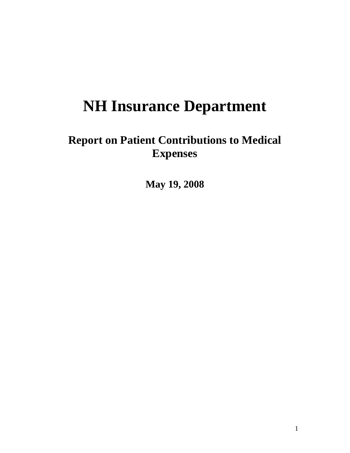# **NH Insurance Department**

## **Report on Patient Contributions to Medical Expenses**

**May 19, 2008**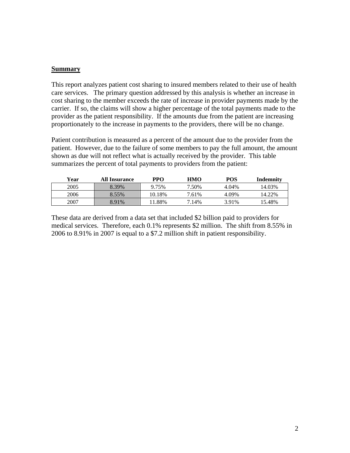#### **Summary**

This report analyzes patient cost sharing to insured members related to their use of health care services. The primary question addressed by this analysis is whether an increase in cost sharing to the member exceeds the rate of increase in provider payments made by the carrier. If so, the claims will show a higher percentage of the total payments made to the provider as the patient responsibility. If the amounts due from the patient are increasing proportionately to the increase in payments to the providers, there will be no change.

Patient contribution is measured as a percent of the amount due to the provider from the patient. However, due to the failure of some members to pay the full amount, the amount shown as due will not reflect what is actually received by the provider. This table summarizes the percent of total payments to providers from the patient:

| Year | <b>All Insurance</b> | PPO      | HMO   | POS   | Indemnity |
|------|----------------------|----------|-------|-------|-----------|
| 2005 | 8.39%                | 9.75%    | 7.50% | 4.04% | 4.03%     |
| 2006 | 8.55%                | 10.18%   | 7.61% | 4.09% | 14.22%    |
| 2007 | 8.91%                | $1.88\%$ | 7.14% | 3.91% | ' 5.48%   |

These data are derived from a data set that included \$2 billion paid to providers for medical services. Therefore, each 0.1% represents \$2 million. The shift from 8.55% in 2006 to 8.91% in 2007 is equal to a \$7.2 million shift in patient responsibility.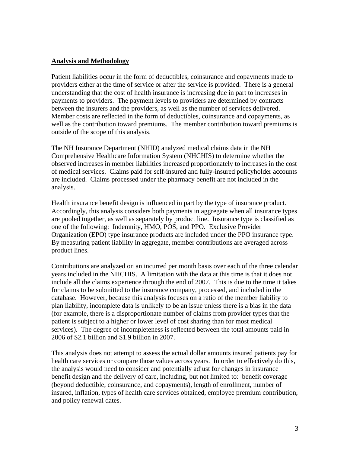#### **Analysis and Methodology**

Patient liabilities occur in the form of deductibles, coinsurance and copayments made to providers either at the time of service or after the service is provided. There is a general understanding that the cost of health insurance is increasing due in part to increases in payments to providers. The payment levels to providers are determined by contracts between the insurers and the providers, as well as the number of services delivered. Member costs are reflected in the form of deductibles, coinsurance and copayments, as well as the contribution toward premiums. The member contribution toward premiums is outside of the scope of this analysis.

The NH Insurance Department (NHID) analyzed medical claims data in the NH Comprehensive Healthcare Information System (NHCHIS) to determine whether the observed increases in member liabilities increased proportionately to increases in the cost of medical services. Claims paid for self-insured and fully-insured policyholder accounts are included. Claims processed under the pharmacy benefit are not included in the analysis.

Health insurance benefit design is influenced in part by the type of insurance product. Accordingly, this analysis considers both payments in aggregate when all insurance types are pooled together, as well as separately by product line. Insurance type is classified as one of the following: Indemnity, HMO, POS, and PPO. Exclusive Provider Organization (EPO) type insurance products are included under the PPO insurance type. By measuring patient liability in aggregate, member contributions are averaged across product lines.

Contributions are analyzed on an incurred per month basis over each of the three calendar years included in the NHCHIS. A limitation with the data at this time is that it does not include all the claims experience through the end of 2007. This is due to the time it takes for claims to be submitted to the insurance company, processed, and included in the database. However, because this analysis focuses on a ratio of the member liability to plan liability, incomplete data is unlikely to be an issue unless there is a bias in the data (for example, there is a disproportionate number of claims from provider types that the patient is subject to a higher or lower level of cost sharing than for most medical services). The degree of incompleteness is reflected between the total amounts paid in 2006 of \$2.1 billion and \$1.9 billion in 2007.

This analysis does not attempt to assess the actual dollar amounts insured patients pay for health care services or compare those values across years. In order to effectively do this, the analysis would need to consider and potentially adjust for changes in insurance benefit design and the delivery of care, including, but not limited to: benefit coverage (beyond deductible, coinsurance, and copayments), length of enrollment, number of insured, inflation, types of health care services obtained, employee premium contribution, and policy renewal dates.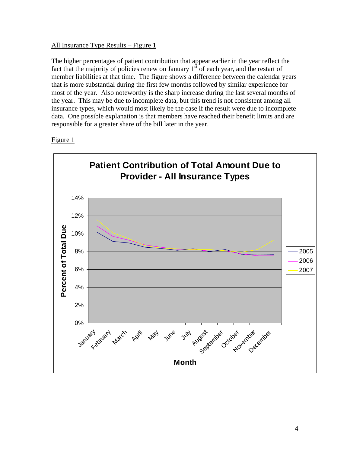#### All Insurance Type Results – Figure 1

The higher percentages of patient contribution that appear earlier in the year reflect the fact that the majority of policies renew on January  $1<sup>st</sup>$  of each year, and the restart of member liabilities at that time. The figure shows a difference between the calendar years that is more substantial during the first few months followed by similar experience for most of the year. Also noteworthy is the sharp increase during the last several months of the year. This may be due to incomplete data, but this trend is not consistent among all insurance types, which would most likely be the case if the result were due to incomplete data. One possible explanation is that members have reached their benefit limits and are responsible for a greater share of the bill later in the year.



#### Figure 1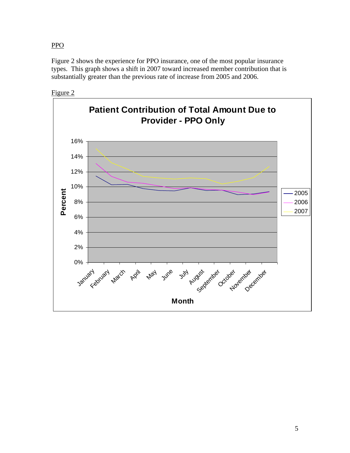PPO

Figure 2 shows the experience for PPO insurance, one of the most popular insurance types. This graph shows a shift in 2007 toward increased member contribution that is substantially greater than the previous rate of increase from 2005 and 2006.



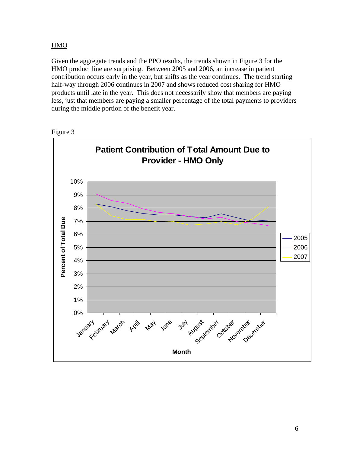#### HMO

Given the aggregate trends and the PPO results, the trends shown in Figure 3 for the HMO product line are surprising. Between 2005 and 2006, an increase in patient contribution occurs early in the year, but shifts as the year continues. The trend starting half-way through 2006 continues in 2007 and shows reduced cost sharing for HMO products until late in the year. This does not necessarily show that members are paying less, just that members are paying a smaller percentage of the total payments to providers during the middle portion of the benefit year.



Figure 3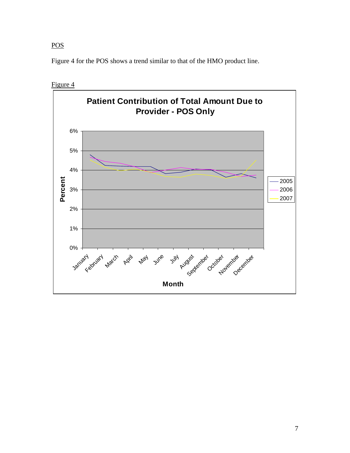### **POS**

Figure 4 for the POS shows a trend similar to that of the HMO product line.

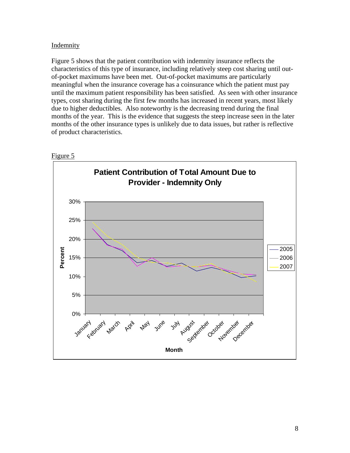#### **Indemnity**

Figure 5 shows that the patient contribution with indemnity insurance reflects the characteristics of this type of insurance, including relatively steep cost sharing until outof-pocket maximums have been met. Out-of-pocket maximums are particularly meaningful when the insurance coverage has a coinsurance which the patient must pay until the maximum patient responsibility has been satisfied. As seen with other insurance types, cost sharing during the first few months has increased in recent years, most likely due to higher deductibles. Also noteworthy is the decreasing trend during the final months of the year. This is the evidence that suggests the steep increase seen in the later months of the other insurance types is unlikely due to data issues, but rather is reflective of product characteristics.



Figure 5